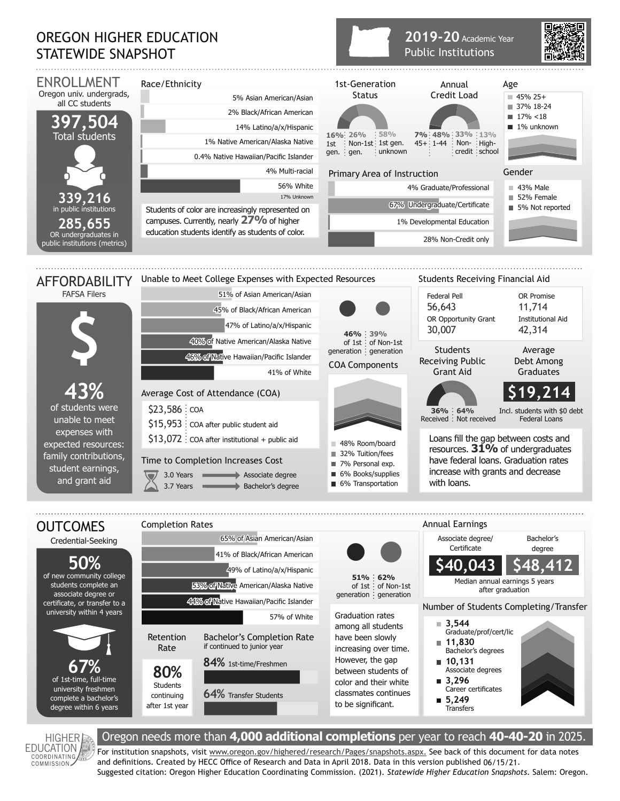## OREGON HIGHER EDUCATION STATEWIDE SNAPSHOT



**2019-20** Academic Year

**HIGHER EDUCATION** COORDINATING<br>COMMISSION

## Oregon needs more than **4,000 additional completions** per year to reach **40-40-20** in 2025.

For institution snapshots, visit www.oregon.gov/highered/research/Pages/snapshots.aspx. See back of this document for data notes and definitions. Created by HECC Office of Research and Data in April 2018. Data in this version published 06/15/21. Suggested citation: Oregon Higher Education Coordinating Commission. (2021). *Statewide Higher Education Snapshots*. Salem: Oregon.